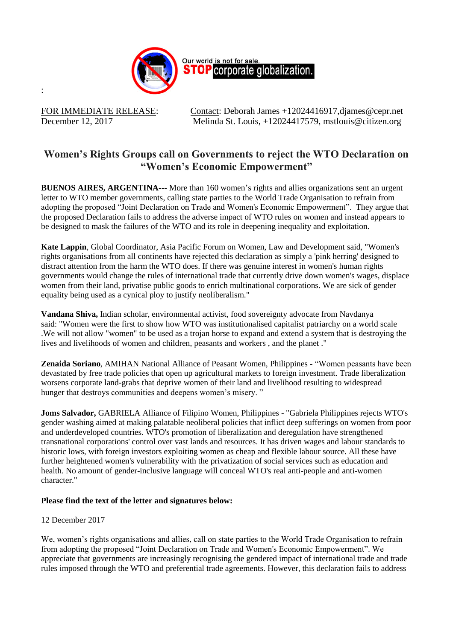

:

FOR IMMEDIATE RELEASE: Contact: Deborah James +12024416917, djames @cepr.net December 12, 2017 Melinda St. Louis, +12024417579, mstlouis@citizen.org

## **Women's Rights Groups call on Governments to reject the WTO Declaration on "Women's Economic Empowerment"**

**BUENOS AIRES, ARGENTINA---** More than 160 women's rights and allies organizations sent an urgent letter to WTO member governments, calling state parties to the World Trade Organisation to refrain from adopting the proposed "Joint Declaration on Trade and Women's Economic Empowerment". They argue that the proposed Declaration fails to address the adverse impact of WTO rules on women and instead appears to be designed to mask the failures of the WTO and its role in deepening inequality and exploitation.

**Kate Lappin**, Global Coordinator, Asia Pacific Forum on Women, Law and Development said, "Women's rights organisations from all continents have rejected this declaration as simply a 'pink herring' designed to distract attention from the harm the WTO does. If there was genuine interest in women's human rights governments would change the rules of international trade that currently drive down women's wages, displace women from their land, privatise public goods to enrich multinational corporations. We are sick of gender equality being used as a cynical ploy to justify neoliberalism."

**Vandana Shiva,** Indian scholar, environmental activist, food sovereignty advocate from Navdanya said: "Women were the first to show how WTO was institutionalised capitalist patriarchy on a world scale .We will not allow "women" to be used as a trojan horse to expand and extend a system that is destroying the lives and livelihoods of women and children, peasants and workers, and the planet."

**Zenaida Soriano**, AMIHAN National Alliance of Peasant Women, Philippines - "Women peasants have been devastated by free trade policies that open up agricultural markets to foreign investment. Trade liberalization worsens corporate land-grabs that deprive women of their land and livelihood resulting to widespread hunger that destroys communities and deepens women's misery."

**Joms Salvador,** GABRIELA Alliance of Filipino Women, Philippines - "Gabriela Philippines rejects WTO's gender washing aimed at making palatable neoliberal policies that inflict deep sufferings on women from poor and underdeveloped countries. WTO's promotion of liberalization and deregulation have strengthened transnational corporations' control over vast lands and resources. It has driven wages and labour standards to historic lows, with foreign investors exploiting women as cheap and flexible labour source. All these have further heightened women's vulnerability with the privatization of social services such as education and health. No amount of gender-inclusive language will conceal WTO's real anti-people and anti-women character."

## **Please find the text of the letter and signatures below:**

## 12 December 2017

We, women's rights organisations and allies, call on state parties to the World Trade Organisation to refrain from adopting the proposed "Joint Declaration on Trade and Women's Economic Empowerment". We appreciate that governments are increasingly recognising the gendered impact of international trade and trade rules imposed through the WTO and preferential trade agreements. However, this declaration fails to address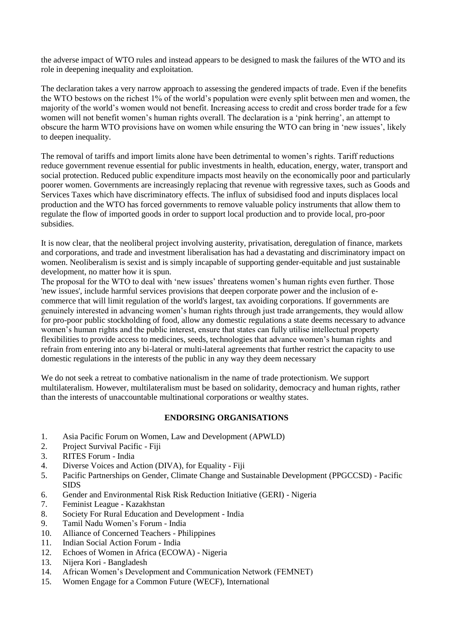the adverse impact of WTO rules and instead appears to be designed to mask the failures of the WTO and its role in deepening inequality and exploitation.

The declaration takes a very narrow approach to assessing the gendered impacts of trade. Even if the benefits the WTO bestows on the richest 1% of the world's population were evenly split between men and women, the majority of the world's women would not benefit. Increasing access to credit and cross border trade for a few women will not benefit women's human rights overall. The declaration is a 'pink herring', an attempt to obscure the harm WTO provisions have on women while ensuring the WTO can bring in 'new issues', likely to deepen inequality.

The removal of tariffs and import limits alone have been detrimental to women's rights. Tariff reductions reduce government revenue essential for public investments in health, education, energy, water, transport and social protection. Reduced public expenditure impacts most heavily on the economically poor and particularly poorer women. Governments are increasingly replacing that revenue with regressive taxes, such as Goods and Services Taxes which have discriminatory effects. The influx of subsidised food and inputs displaces local production and the WTO has forced governments to remove valuable policy instruments that allow them to regulate the flow of imported goods in order to support local production and to provide local, pro-poor subsidies.

It is now clear, that the neoliberal project involving austerity, privatisation, deregulation of finance, markets and corporations, and trade and investment liberalisation has had a devastating and discriminatory impact on women. Neoliberalism is sexist and is simply incapable of supporting gender-equitable and just sustainable development, no matter how it is spun.

The proposal for the WTO to deal with 'new issues' threatens women's human rights even further. Those 'new issues', include harmful services provisions that deepen corporate power and the inclusion of ecommerce that will limit regulation of the world's largest, tax avoiding corporations. If governments are genuinely interested in advancing women's human rights through just trade arrangements, they would allow for pro-poor public stockholding of food, allow any domestic regulations a state deems necessary to advance women's human rights and the public interest, ensure that states can fully utilise intellectual property flexibilities to provide access to medicines, seeds, technologies that advance women's human rights and refrain from entering into any bi-lateral or multi-lateral agreements that further restrict the capacity to use domestic regulations in the interests of the public in any way they deem necessary

We do not seek a retreat to combative nationalism in the name of trade protectionism. We support multilateralism. However, multilateralism must be based on solidarity, democracy and human rights, rather than the interests of unaccountable multinational corporations or wealthy states.

## **ENDORSING ORGANISATIONS**

- 1. Asia Pacific Forum on Women, Law and Development (APWLD)
- 2. Project Survival Pacific Fiji
- 3. RITES Forum India
- 4. Diverse Voices and Action (DIVA), for Equality Fiji
- 5. Pacific Partnerships on Gender, Climate Change and Sustainable Development (PPGCCSD) Pacific SIDS
- 6. Gender and Environmental Risk Risk Reduction Initiative (GERI) Nigeria
- 7. Feminist League Kazakhstan
- 8. Society For Rural Education and Development India
- 9. Tamil Nadu Women's Forum India
- 10. Alliance of Concerned Teachers Philippines
- 11. Indian Social Action Forum India
- 12. Echoes of Women in Africa (ECOWA) Nigeria
- 13. Nijera Kori Bangladesh
- 14. African Women's Development and Communication Network (FEMNET)
- 15. Women Engage for a Common Future (WECF), International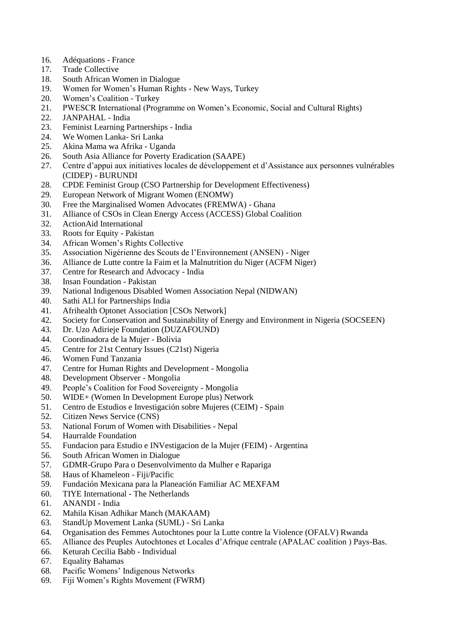- 16. Adéquations France
- 17. Trade Collective
- 18. South African Women in Dialogue<br>19. Women for Women's Human Righ
- Women for Women's Human Rights New Ways, Turkey
- 20. Women's Coalition Turkey
- 21. PWESCR International (Programme on Women's Economic, Social and Cultural Rights)
- 22. JANPAHAL India
- 23. Feminist Learning Partnerships India
- 24. We Women Lanka- Sri Lanka<br>25. Akina Mama wa Afrika Ugar
- 25. Akina Mama wa Afrika Uganda
- 26. South Asia Alliance for Poverty Eradication (SAAPE)
- 27. Centre d'appui aux initiatives locales de développement et d'Assistance aux personnes vulnérables (CIDEP) - BURUNDI
- 28. CPDE Feminist Group (CSO Partnership for Development Effectiveness)
- 29. European Network of Migrant Women (ENOMW)<br>30. Free the Marginalised Women Advocates (FREMV)
- Free the Marginalised Women Advocates (FREMWA) Ghana
- 31. Alliance of CSOs in Clean Energy Access (ACCESS) Global Coalition
- 32. ActionAid International
- 33. Roots for Equity Pakistan
- 34. African Women's Rights Collective
- 35. Association Nigérienne des Scouts de l'Environnement (ANSEN) Niger
- 36. Alliance de Lutte contre la Faim et la Malnutrition du Niger (ACFM Niger)
- 37. Centre for Research and Advocacy India<br>38. Insan Foundation Pakistan
- Insan Foundation Pakistan
- 39. National Indigenous Disabled Women Association Nepal (NIDWAN)
- 40. Sathi ALl for Partnerships India
- 41. Afrihealth Optonet Association [CSOs Network]
- 42. Society for Conservation and Sustainability of Energy and Environment in Nigeria (SOCSEEN)
- 43. Dr. Uzo Adirieje Foundation (DUZAFOUND)
- 44. Coordinadora de la Mujer Bolivia
- 45. Centre for 21st Century Issues (C21st) Nigeria
- 46. Women Fund Tanzania
- 47. Centre for Human Rights and Development Mongolia
- 48. Development Observer Mongolia
- 49. People's Coalition for Food Sovereignty Mongolia
- 50. WIDE+ (Women In Development Europe plus) Network
- 51. Centro de Estudios e Investigación sobre Mujeres (CEIM) Spain
- 52. Citizen News Service (CNS)
- 53. National Forum of Women with Disabilities Nepal
- 54. Haurralde Foundation
- 55. Fundacion para Estudio e INVestigacion de la Mujer (FEIM) Argentina
- 56. South African Women in Dialogue
- 57. GDMR-Grupo Para o Desenvolvimento da Mulher e Rapariga
- 58. Haus of Khameleon Fiji/Pacific
- 59. Fundación Mexicana para la Planeación Familiar AC MEXFAM
- 60. TIYE International The Netherlands
- 61. ANANDI India
- 62. Mahila Kisan Adhikar Manch (MAKAAM)
- 63. StandUp Movement Lanka (SUML) Sri Lanka
- 64. Organisation des Femmes Autochtones pour la Lutte contre la Violence (OFALV) Rwanda
- 65. Alliance des Peuples Autochtones et Locales d'Afrique centrale (APALAC coalition ) Pays-Bas.
- 66. Keturah Cecilia Babb Individual
- 67. Equality Bahamas
- 68. Pacific Womens' Indigenous Networks
- 69. Fiji Women's Rights Movement (FWRM)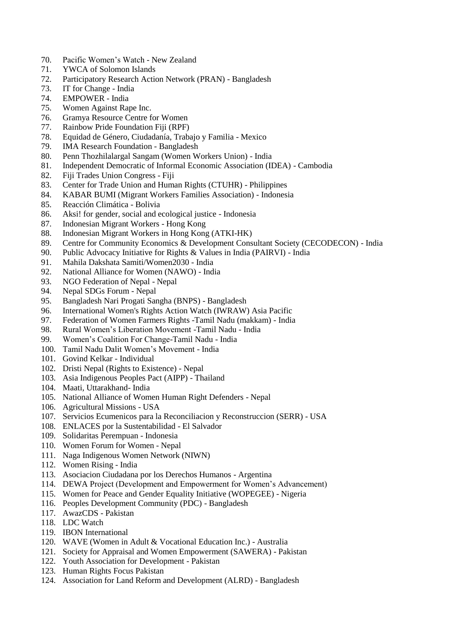- 70. Pacific Women's Watch New Zealand
- 71. YWCA of Solomon Islands<br>72. Participatory Research Action
- 72. Participatory Research Action Network (PRAN) Bangladesh<br>73. IT for Change India
- IT for Change India
- 74. EMPOWER India
- 75. Women Against Rape Inc.
- 76. Gramya Resource Centre for Women
- 77. Rainbow Pride Foundation Fiji (RPF)
- 78. Equidad de Género, Ciudadanía, Trabajo y Familia Mexico
- IMA Research Foundation Bangladesh
- 80. Penn Thozhilalargal Sangam (Women Workers Union) India
- 81. Independent Democratic of Informal Economic Association (IDEA) Cambodia
- 82. Fiji Trades Union Congress Fiji
- 83. Center for Trade Union and Human Rights (CTUHR) Philippines
- 84. KABAR BUMI (Migrant Workers Families Association) Indonesia
- Reacción Climática Bolivia
- 86. Aksi! for gender, social and ecological justice Indonesia
- 87. Indonesian Migrant Workers Hong Kong
- 88. Indonesian Migrant Workers in Hong Kong (ATKI-HK)
- 89. Centre for Community Economics & Development Consultant Society (CECODECON) India
- 90. Public Advocacy Initiative for Rights & Values in India (PAIRVI) India
- 91. Mahila Dakshata Samiti/Women2030 India
- 92. National Alliance for Women (NAWO) India<br>93. NGO Federation of Nepal Nepal
- 93. NGO Federation of Nepal Nepal
- 94. Nepal SDGs Forum Nepal
- 95. Bangladesh Nari Progati Sangha (BNPS) Bangladesh
- 96. International Women's Rights Action Watch (IWRAW) Asia Pacific
- 97. Federation of Women Farmers Rights -Tamil Nadu (makkam) India
- 98. Rural Women's Liberation Movement -Tamil Nadu India
- 99. Women's Coalition For Change-Tamil Nadu India
- 100. Tamil Nadu Dalit Women's Movement India
- 101. Govind Kelkar Individual
- 102. Dristi Nepal (Rights to Existence) Nepal
- 103. Asia Indigenous Peoples Pact (AIPP) Thailand
- 104. Maati, Uttarakhand- India
- 105. National Alliance of Women Human Right Defenders Nepal
- 106. Agricultural Missions USA
- 107. Servicios Ecumenicos para la Reconciliacion y Reconstruccion (SERR) USA
- 108. ENLACES por la Sustentabilidad El Salvador
- 109. Solidaritas Perempuan Indonesia
- 110. Women Forum for Women Nepal
- 111. Naga Indigenous Women Network (NIWN)
- 112. Women Rising India
- 113. Asociacion Ciudadana por los Derechos Humanos Argentina
- 114. DEWA Project (Development and Empowerment for Women's Advancement)
- 115. Women for Peace and Gender Equality Initiative (WOPEGEE) Nigeria
- 116. Peoples Development Community (PDC) Bangladesh
- 117. AwazCDS Pakistan
- 118. LDC Watch
- 119. IBON International
- 120. WAVE (Women in Adult & Vocational Education Inc.) Australia
- 121. Society for Appraisal and Women Empowerment (SAWERA) Pakistan
- 122. Youth Association for Development Pakistan
- 123. Human Rights Focus Pakistan
- 124. Association for Land Reform and Development (ALRD) Bangladesh